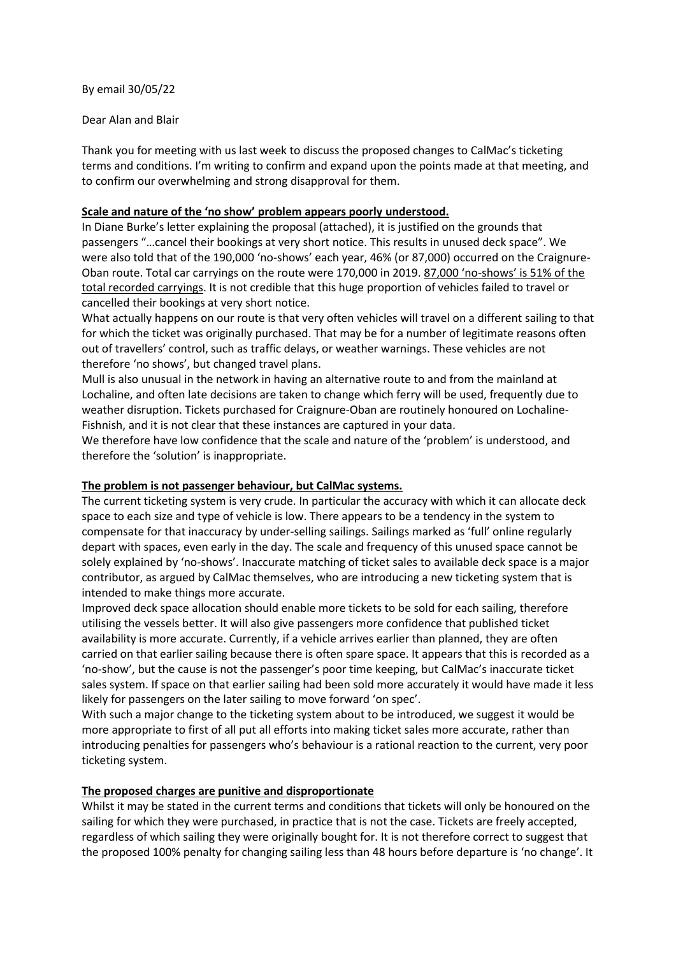By email 30/05/22

## Dear Alan and Blair

Thank you for meeting with us last week to discuss the proposed changes to CalMac's ticketing terms and conditions. I'm writing to confirm and expand upon the points made at that meeting, and to confirm our overwhelming and strong disapproval for them.

## **Scale and nature of the 'no show' problem appears poorly understood.**

In Diane Burke's letter explaining the proposal (attached), it is justified on the grounds that passengers "…cancel their bookings at very short notice. This results in unused deck space". We were also told that of the 190,000 'no-shows' each year, 46% (or 87,000) occurred on the Craignure-Oban route. Total car carryings on the route were 170,000 in 2019. 87,000 'no-shows' is 51% of the total recorded carryings. It is not credible that this huge proportion of vehicles failed to travel or cancelled their bookings at very short notice.

What actually happens on our route is that very often vehicles will travel on a different sailing to that for which the ticket was originally purchased. That may be for a number of legitimate reasons often out of travellers' control, such as traffic delays, or weather warnings. These vehicles are not therefore 'no shows', but changed travel plans.

Mull is also unusual in the network in having an alternative route to and from the mainland at Lochaline, and often late decisions are taken to change which ferry will be used, frequently due to weather disruption. Tickets purchased for Craignure-Oban are routinely honoured on Lochaline-Fishnish, and it is not clear that these instances are captured in your data.

We therefore have low confidence that the scale and nature of the 'problem' is understood, and therefore the 'solution' is inappropriate.

## **The problem is not passenger behaviour, but CalMac systems.**

The current ticketing system is very crude. In particular the accuracy with which it can allocate deck space to each size and type of vehicle is low. There appears to be a tendency in the system to compensate for that inaccuracy by under-selling sailings. Sailings marked as 'full' online regularly depart with spaces, even early in the day. The scale and frequency of this unused space cannot be solely explained by 'no-shows'. Inaccurate matching of ticket sales to available deck space is a major contributor, as argued by CalMac themselves, who are introducing a new ticketing system that is intended to make things more accurate.

Improved deck space allocation should enable more tickets to be sold for each sailing, therefore utilising the vessels better. It will also give passengers more confidence that published ticket availability is more accurate. Currently, if a vehicle arrives earlier than planned, they are often carried on that earlier sailing because there is often spare space. It appears that this is recorded as a 'no-show', but the cause is not the passenger's poor time keeping, but CalMac's inaccurate ticket sales system. If space on that earlier sailing had been sold more accurately it would have made it less likely for passengers on the later sailing to move forward 'on spec'.

With such a major change to the ticketing system about to be introduced, we suggest it would be more appropriate to first of all put all efforts into making ticket sales more accurate, rather than introducing penalties for passengers who's behaviour is a rational reaction to the current, very poor ticketing system.

#### **The proposed charges are punitive and disproportionate**

Whilst it may be stated in the current terms and conditions that tickets will only be honoured on the sailing for which they were purchased, in practice that is not the case. Tickets are freely accepted, regardless of which sailing they were originally bought for. It is not therefore correct to suggest that the proposed 100% penalty for changing sailing less than 48 hours before departure is 'no change'. It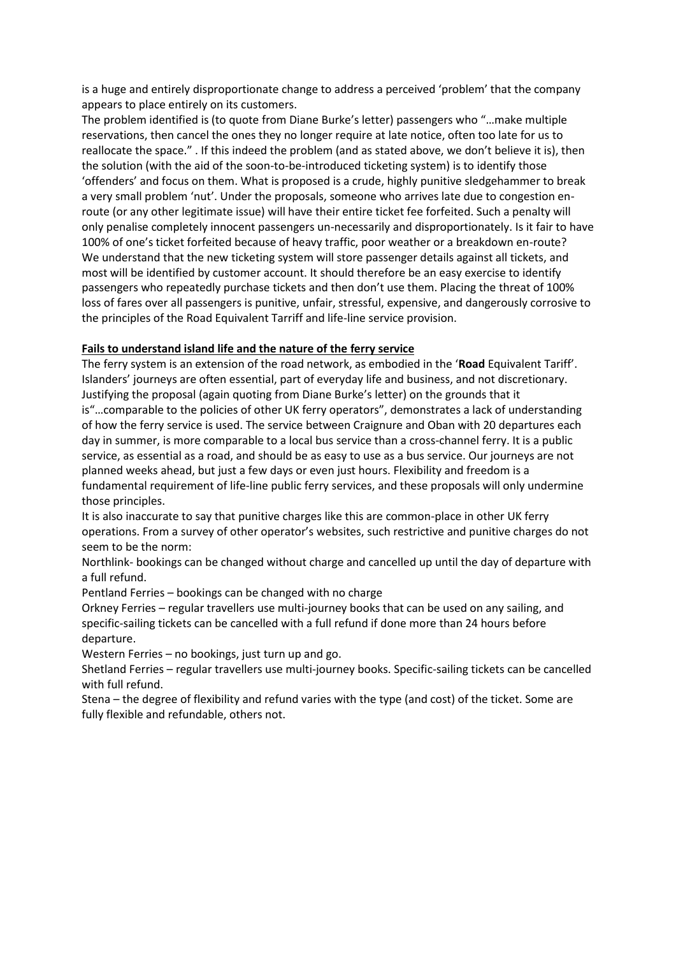is a huge and entirely disproportionate change to address a perceived 'problem' that the company appears to place entirely on its customers.

The problem identified is (to quote from Diane Burke's letter) passengers who "…make multiple reservations, then cancel the ones they no longer require at late notice, often too late for us to reallocate the space." . If this indeed the problem (and as stated above, we don't believe it is), then the solution (with the aid of the soon-to-be-introduced ticketing system) is to identify those 'offenders' and focus on them. What is proposed is a crude, highly punitive sledgehammer to break a very small problem 'nut'. Under the proposals, someone who arrives late due to congestion enroute (or any other legitimate issue) will have their entire ticket fee forfeited. Such a penalty will only penalise completely innocent passengers un-necessarily and disproportionately. Is it fair to have 100% of one's ticket forfeited because of heavy traffic, poor weather or a breakdown en-route? We understand that the new ticketing system will store passenger details against all tickets, and most will be identified by customer account. It should therefore be an easy exercise to identify passengers who repeatedly purchase tickets and then don't use them. Placing the threat of 100% loss of fares over all passengers is punitive, unfair, stressful, expensive, and dangerously corrosive to the principles of the Road Equivalent Tarriff and life-line service provision.

## **Fails to understand island life and the nature of the ferry service**

The ferry system is an extension of the road network, as embodied in the '**Road** Equivalent Tariff'. Islanders' journeys are often essential, part of everyday life and business, and not discretionary. Justifying the proposal (again quoting from Diane Burke's letter) on the grounds that it is"…comparable to the policies of other UK ferry operators", demonstrates a lack of understanding of how the ferry service is used. The service between Craignure and Oban with 20 departures each day in summer, is more comparable to a local bus service than a cross-channel ferry. It is a public service, as essential as a road, and should be as easy to use as a bus service. Our journeys are not planned weeks ahead, but just a few days or even just hours. Flexibility and freedom is a fundamental requirement of life-line public ferry services, and these proposals will only undermine those principles.

It is also inaccurate to say that punitive charges like this are common-place in other UK ferry operations. From a survey of other operator's websites, such restrictive and punitive charges do not seem to be the norm:

Northlink- bookings can be changed without charge and cancelled up until the day of departure with a full refund.

Pentland Ferries – bookings can be changed with no charge

Orkney Ferries – regular travellers use multi-journey books that can be used on any sailing, and specific-sailing tickets can be cancelled with a full refund if done more than 24 hours before departure.

Western Ferries – no bookings, just turn up and go.

Shetland Ferries – regular travellers use multi-journey books. Specific-sailing tickets can be cancelled with full refund.

Stena – the degree of flexibility and refund varies with the type (and cost) of the ticket. Some are fully flexible and refundable, others not.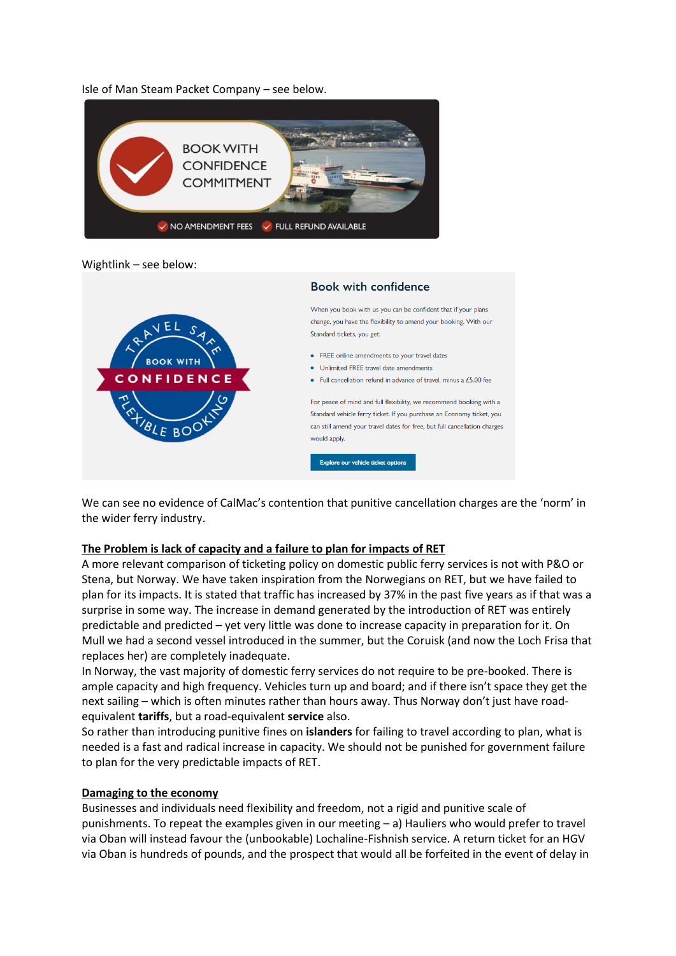## Isle of Man Steam Packet Company – see below.



#### Wightlink – see below:



We can see no evidence of CalMac's contention that punitive cancellation charges are the 'norm' in the wider ferry industry.

#### **The Problem is lack of capacity and a failure to plan for impacts of RET**

A more relevant comparison of ticketing policy on domestic public ferry services is not with P&O or Stena, but Norway. We have taken inspiration from the Norwegians on RET, but we have failed to plan for its impacts. It is stated that traffic has increased by 37% in the past five years as if that was a surprise in some way. The increase in demand generated by the introduction of RET was entirely predictable and predicted – yet very little was done to increase capacity in preparation for it. On Mull we had a second vessel introduced in the summer, but the Coruisk (and now the Loch Frisa that replaces her) are completely inadequate.

In Norway, the vast majority of domestic ferry services do not require to be pre-booked. There is ample capacity and high frequency. Vehicles turn up and board; and if there isn't space they get the next sailing – which is often minutes rather than hours away. Thus Norway don't just have roadequivalent **tariffs**, but a road-equivalent **service** also.

So rather than introducing punitive fines on **islanders** for failing to travel according to plan, what is needed is a fast and radical increase in capacity. We should not be punished for government failure to plan for the very predictable impacts of RET.

#### **Damaging to the economy**

Businesses and individuals need flexibility and freedom, not a rigid and punitive scale of punishments. To repeat the examples given in our meeting – a) Hauliers who would prefer to travel via Oban will instead favour the (unbookable) Lochaline-Fishnish service. A return ticket for an HGV via Oban is hundreds of pounds, and the prospect that would all be forfeited in the event of delay in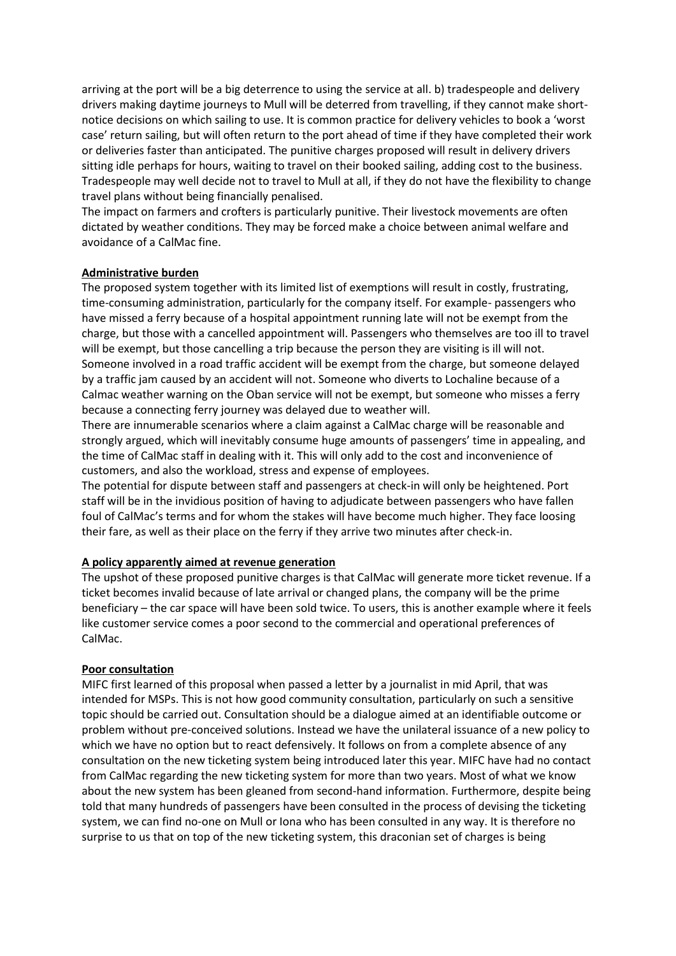arriving at the port will be a big deterrence to using the service at all. b) tradespeople and delivery drivers making daytime journeys to Mull will be deterred from travelling, if they cannot make shortnotice decisions on which sailing to use. It is common practice for delivery vehicles to book a 'worst case' return sailing, but will often return to the port ahead of time if they have completed their work or deliveries faster than anticipated. The punitive charges proposed will result in delivery drivers sitting idle perhaps for hours, waiting to travel on their booked sailing, adding cost to the business. Tradespeople may well decide not to travel to Mull at all, if they do not have the flexibility to change travel plans without being financially penalised.

The impact on farmers and crofters is particularly punitive. Their livestock movements are often dictated by weather conditions. They may be forced make a choice between animal welfare and avoidance of a CalMac fine.

## **Administrative burden**

The proposed system together with its limited list of exemptions will result in costly, frustrating, time-consuming administration, particularly for the company itself. For example- passengers who have missed a ferry because of a hospital appointment running late will not be exempt from the charge, but those with a cancelled appointment will. Passengers who themselves are too ill to travel will be exempt, but those cancelling a trip because the person they are visiting is ill will not. Someone involved in a road traffic accident will be exempt from the charge, but someone delayed by a traffic jam caused by an accident will not. Someone who diverts to Lochaline because of a Calmac weather warning on the Oban service will not be exempt, but someone who misses a ferry because a connecting ferry journey was delayed due to weather will.

There are innumerable scenarios where a claim against a CalMac charge will be reasonable and strongly argued, which will inevitably consume huge amounts of passengers' time in appealing, and the time of CalMac staff in dealing with it. This will only add to the cost and inconvenience of customers, and also the workload, stress and expense of employees.

The potential for dispute between staff and passengers at check-in will only be heightened. Port staff will be in the invidious position of having to adjudicate between passengers who have fallen foul of CalMac's terms and for whom the stakes will have become much higher. They face loosing their fare, as well as their place on the ferry if they arrive two minutes after check-in.

## **A policy apparently aimed at revenue generation**

The upshot of these proposed punitive charges is that CalMac will generate more ticket revenue. If a ticket becomes invalid because of late arrival or changed plans, the company will be the prime beneficiary – the car space will have been sold twice. To users, this is another example where it feels like customer service comes a poor second to the commercial and operational preferences of CalMac.

#### **Poor consultation**

MIFC first learned of this proposal when passed a letter by a journalist in mid April, that was intended for MSPs. This is not how good community consultation, particularly on such a sensitive topic should be carried out. Consultation should be a dialogue aimed at an identifiable outcome or problem without pre-conceived solutions. Instead we have the unilateral issuance of a new policy to which we have no option but to react defensively. It follows on from a complete absence of any consultation on the new ticketing system being introduced later this year. MIFC have had no contact from CalMac regarding the new ticketing system for more than two years. Most of what we know about the new system has been gleaned from second-hand information. Furthermore, despite being told that many hundreds of passengers have been consulted in the process of devising the ticketing system, we can find no-one on Mull or Iona who has been consulted in any way. It is therefore no surprise to us that on top of the new ticketing system, this draconian set of charges is being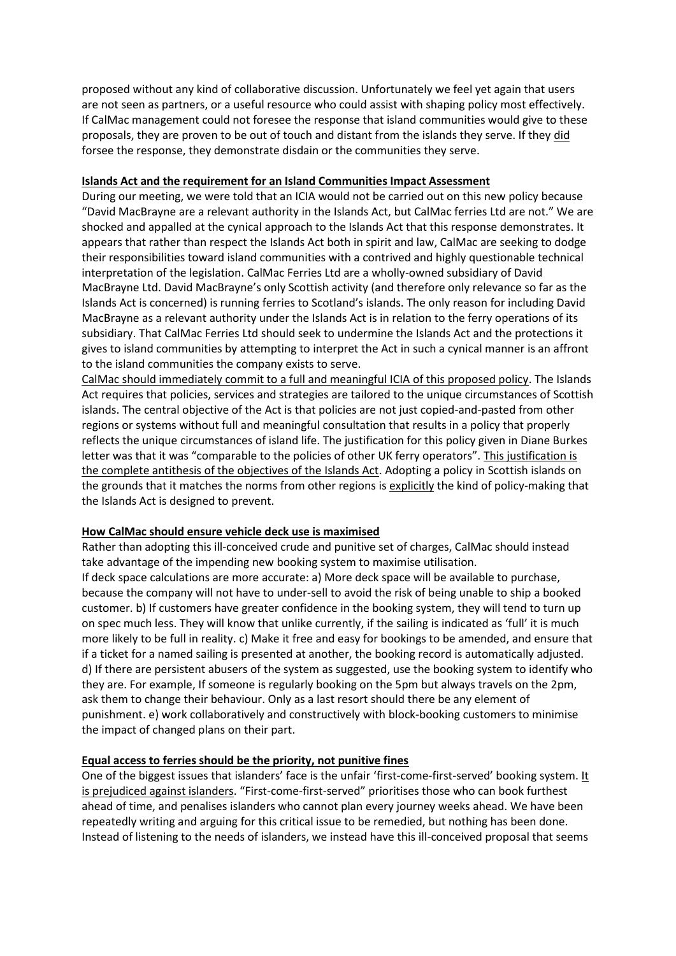proposed without any kind of collaborative discussion. Unfortunately we feel yet again that users are not seen as partners, or a useful resource who could assist with shaping policy most effectively. If CalMac management could not foresee the response that island communities would give to these proposals, they are proven to be out of touch and distant from the islands they serve. If they did forsee the response, they demonstrate disdain or the communities they serve.

## **Islands Act and the requirement for an Island Communities Impact Assessment**

During our meeting, we were told that an ICIA would not be carried out on this new policy because "David MacBrayne are a relevant authority in the Islands Act, but CalMac ferries Ltd are not." We are shocked and appalled at the cynical approach to the Islands Act that this response demonstrates. It appears that rather than respect the Islands Act both in spirit and law, CalMac are seeking to dodge their responsibilities toward island communities with a contrived and highly questionable technical interpretation of the legislation. CalMac Ferries Ltd are a wholly-owned subsidiary of David MacBrayne Ltd. David MacBrayne's only Scottish activity (and therefore only relevance so far as the Islands Act is concerned) is running ferries to Scotland's islands. The only reason for including David MacBrayne as a relevant authority under the Islands Act is in relation to the ferry operations of its subsidiary. That CalMac Ferries Ltd should seek to undermine the Islands Act and the protections it gives to island communities by attempting to interpret the Act in such a cynical manner is an affront to the island communities the company exists to serve.

CalMac should immediately commit to a full and meaningful ICIA of this proposed policy. The Islands Act requires that policies, services and strategies are tailored to the unique circumstances of Scottish islands. The central objective of the Act is that policies are not just copied-and-pasted from other regions or systems without full and meaningful consultation that results in a policy that properly reflects the unique circumstances of island life. The justification for this policy given in Diane Burkes letter was that it was "comparable to the policies of other UK ferry operators". This justification is the complete antithesis of the objectives of the Islands Act. Adopting a policy in Scottish islands on the grounds that it matches the norms from other regions is explicitly the kind of policy-making that the Islands Act is designed to prevent.

# **How CalMac should ensure vehicle deck use is maximised**

Rather than adopting this ill-conceived crude and punitive set of charges, CalMac should instead take advantage of the impending new booking system to maximise utilisation.

If deck space calculations are more accurate: a) More deck space will be available to purchase, because the company will not have to under-sell to avoid the risk of being unable to ship a booked customer. b) If customers have greater confidence in the booking system, they will tend to turn up on spec much less. They will know that unlike currently, if the sailing is indicated as 'full' it is much more likely to be full in reality. c) Make it free and easy for bookings to be amended, and ensure that if a ticket for a named sailing is presented at another, the booking record is automatically adjusted. d) If there are persistent abusers of the system as suggested, use the booking system to identify who they are. For example, If someone is regularly booking on the 5pm but always travels on the 2pm, ask them to change their behaviour. Only as a last resort should there be any element of punishment. e) work collaboratively and constructively with block-booking customers to minimise the impact of changed plans on their part.

# **Equal access to ferries should be the priority, not punitive fines**

One of the biggest issues that islanders' face is the unfair 'first-come-first-served' booking system. It is prejudiced against islanders. "First-come-first-served" prioritises those who can book furthest ahead of time, and penalises islanders who cannot plan every journey weeks ahead. We have been repeatedly writing and arguing for this critical issue to be remedied, but nothing has been done. Instead of listening to the needs of islanders, we instead have this ill-conceived proposal that seems